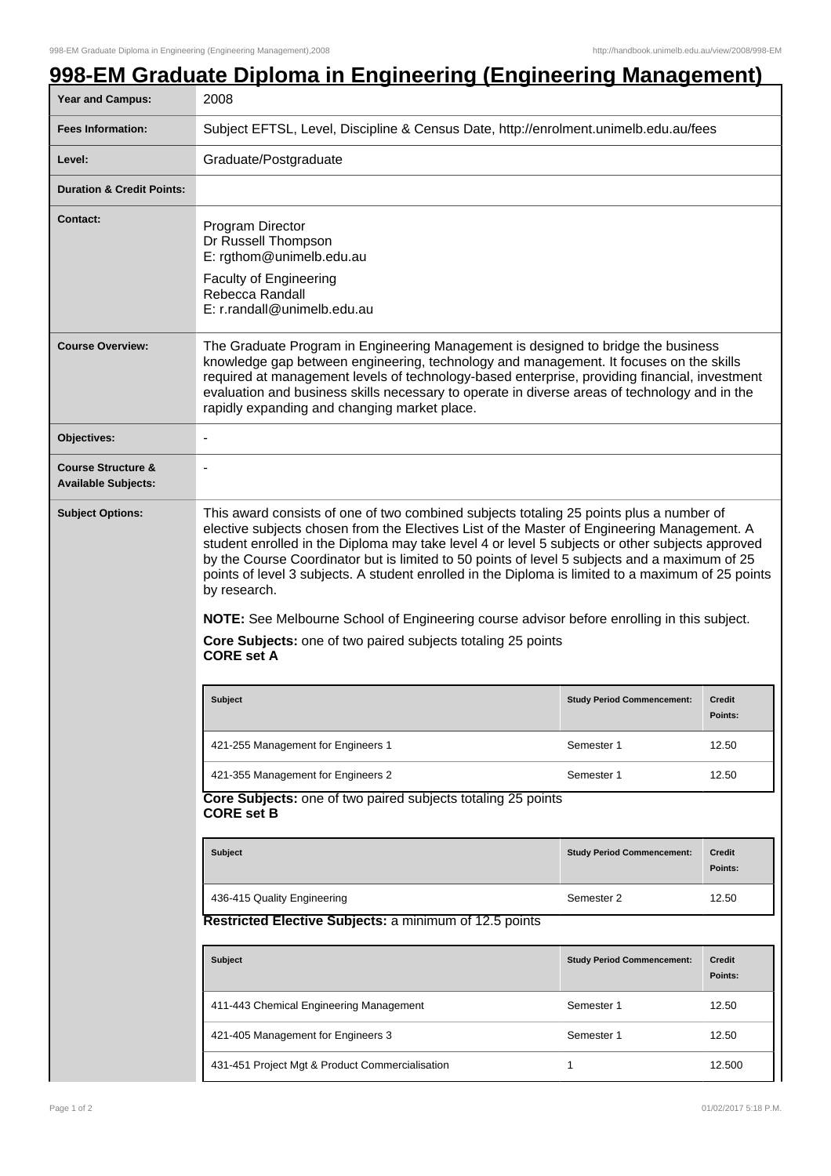## **998-EM Graduate Diploma in Engineering (Engineering Management)**

| <b>Year and Campus:</b>                                     | 2008                                                                                                                                                                                                                                                                                                                                                                                                                                                                                                                                                                                                                                                                                                |                                   |                                 |  |  |
|-------------------------------------------------------------|-----------------------------------------------------------------------------------------------------------------------------------------------------------------------------------------------------------------------------------------------------------------------------------------------------------------------------------------------------------------------------------------------------------------------------------------------------------------------------------------------------------------------------------------------------------------------------------------------------------------------------------------------------------------------------------------------------|-----------------------------------|---------------------------------|--|--|
| <b>Fees Information:</b>                                    | Subject EFTSL, Level, Discipline & Census Date, http://enrolment.unimelb.edu.au/fees                                                                                                                                                                                                                                                                                                                                                                                                                                                                                                                                                                                                                |                                   |                                 |  |  |
| Level:                                                      | Graduate/Postgraduate                                                                                                                                                                                                                                                                                                                                                                                                                                                                                                                                                                                                                                                                               |                                   |                                 |  |  |
| <b>Duration &amp; Credit Points:</b>                        |                                                                                                                                                                                                                                                                                                                                                                                                                                                                                                                                                                                                                                                                                                     |                                   |                                 |  |  |
| <b>Contact:</b>                                             | Program Director<br>Dr Russell Thompson<br>E: rgthom@unimelb.edu.au<br><b>Faculty of Engineering</b><br>Rebecca Randall<br>E: r.randall@unimelb.edu.au                                                                                                                                                                                                                                                                                                                                                                                                                                                                                                                                              |                                   |                                 |  |  |
| <b>Course Overview:</b>                                     | The Graduate Program in Engineering Management is designed to bridge the business<br>knowledge gap between engineering, technology and management. It focuses on the skills<br>required at management levels of technology-based enterprise, providing financial, investment<br>evaluation and business skills necessary to operate in diverse areas of technology and in the<br>rapidly expanding and changing market place.                                                                                                                                                                                                                                                                       |                                   |                                 |  |  |
| Objectives:                                                 |                                                                                                                                                                                                                                                                                                                                                                                                                                                                                                                                                                                                                                                                                                     |                                   |                                 |  |  |
| <b>Course Structure &amp;</b><br><b>Available Subjects:</b> | $\blacksquare$                                                                                                                                                                                                                                                                                                                                                                                                                                                                                                                                                                                                                                                                                      |                                   |                                 |  |  |
| <b>Subject Options:</b>                                     | This award consists of one of two combined subjects totaling 25 points plus a number of<br>elective subjects chosen from the Electives List of the Master of Engineering Management. A<br>student enrolled in the Diploma may take level 4 or level 5 subjects or other subjects approved<br>by the Course Coordinator but is limited to 50 points of level 5 subjects and a maximum of 25<br>points of level 3 subjects. A student enrolled in the Diploma is limited to a maximum of 25 points<br>by research.<br>NOTE: See Melbourne School of Engineering course advisor before enrolling in this subject.<br>Core Subjects: one of two paired subjects totaling 25 points<br><b>CORE set A</b> |                                   |                                 |  |  |
|                                                             | <b>Subject</b>                                                                                                                                                                                                                                                                                                                                                                                                                                                                                                                                                                                                                                                                                      | <b>Study Period Commencement:</b> | <b>Credit</b><br><b>Points:</b> |  |  |
|                                                             | 421-255 Management for Engineers 1                                                                                                                                                                                                                                                                                                                                                                                                                                                                                                                                                                                                                                                                  | Semester 1                        | 12.50                           |  |  |
|                                                             | 421-355 Management for Engineers 2                                                                                                                                                                                                                                                                                                                                                                                                                                                                                                                                                                                                                                                                  | Semester 1                        | 12.50                           |  |  |
|                                                             | Core Subjects: one of two paired subjects totaling 25 points<br><b>CORE set B</b>                                                                                                                                                                                                                                                                                                                                                                                                                                                                                                                                                                                                                   |                                   |                                 |  |  |
|                                                             | Subject                                                                                                                                                                                                                                                                                                                                                                                                                                                                                                                                                                                                                                                                                             | <b>Study Period Commencement:</b> | <b>Credit</b><br>Points:        |  |  |
|                                                             | 436-415 Quality Engineering                                                                                                                                                                                                                                                                                                                                                                                                                                                                                                                                                                                                                                                                         | Semester 2                        | 12.50                           |  |  |
|                                                             | Restricted Elective Subjects: a minimum of 12.5 points                                                                                                                                                                                                                                                                                                                                                                                                                                                                                                                                                                                                                                              |                                   |                                 |  |  |
|                                                             | Subject                                                                                                                                                                                                                                                                                                                                                                                                                                                                                                                                                                                                                                                                                             | <b>Study Period Commencement:</b> | <b>Credit</b><br>Points:        |  |  |
|                                                             | 411-443 Chemical Engineering Management                                                                                                                                                                                                                                                                                                                                                                                                                                                                                                                                                                                                                                                             | Semester 1                        | 12.50                           |  |  |
|                                                             | 421-405 Management for Engineers 3                                                                                                                                                                                                                                                                                                                                                                                                                                                                                                                                                                                                                                                                  | Semester 1                        | 12.50                           |  |  |
|                                                             | 431-451 Project Mgt & Product Commercialisation                                                                                                                                                                                                                                                                                                                                                                                                                                                                                                                                                                                                                                                     | 1                                 | 12.500                          |  |  |